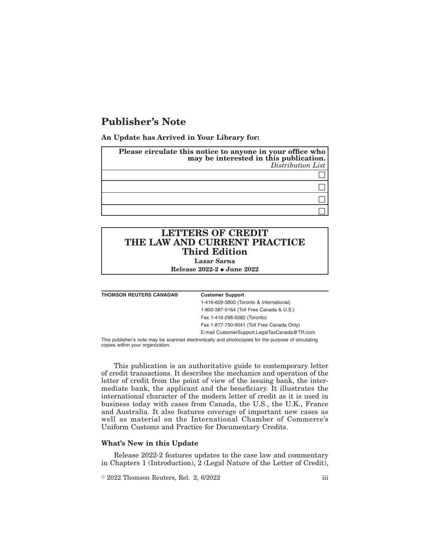# **Publisher's Note**

**An Update has Arrived in Your Library for:**

| Please circulate this notice to anyone in your office who<br>may be interested in this publication.<br>Distribution List |
|--------------------------------------------------------------------------------------------------------------------------|
|                                                                                                                          |
|                                                                                                                          |
|                                                                                                                          |
|                                                                                                                          |

# **LETTERS OF CREDIT THE LAW AND CURRENT PRACTICE Third Edition**

**Lazar Sarna**

**Release 2022-2 • June 2022** 

| <b>THOMSON REUTERS CANADA®</b> | <b>Customer Support</b>                                                                            |
|--------------------------------|----------------------------------------------------------------------------------------------------|
|                                | 1-416-609-3800 (Toronto & International)                                                           |
|                                | 1-800-387-5164 (Toll Free Canada & U.S.)                                                           |
|                                | Fax 1-416-298-5082 (Toronto)                                                                       |
|                                | Fax 1-877-750-9041 (Toll Free Canada Only)                                                         |
|                                | E-mail CustomerSupport.LegalTaxCanada@TR.com                                                       |
|                                | This publisher's note may be scanned electronically and photoconied for the purpose of circulating |

This publisher's note may be scanned electronically and photocopied for the purpose of circulating copies within your organization.

This publication is an authoritative guide to contemporary letter of credit transactions. It describes the mechanics and operation of the letter of credit from the point of view of the issuing bank, the intermediate bank, the applicant and the beneficiary. It illustrates the international character of the modern letter of credit as it is used in business today with cases from Canada, the U.S., the U.K., France and Australia. It also features coverage of important new cases as well as material on the International Chamber of Commerce's Uniform Customs and Practice for Documentary Credits.

#### **What's New in this Update**

Release 2022-2 features updates to the case law and commentary in Chapters 1 (Introduction), 2 (Legal Nature of the Letter of Credit),

 $\textdegree$  2022 Thomson Reuters, Rel. 2, 6/2022 iii